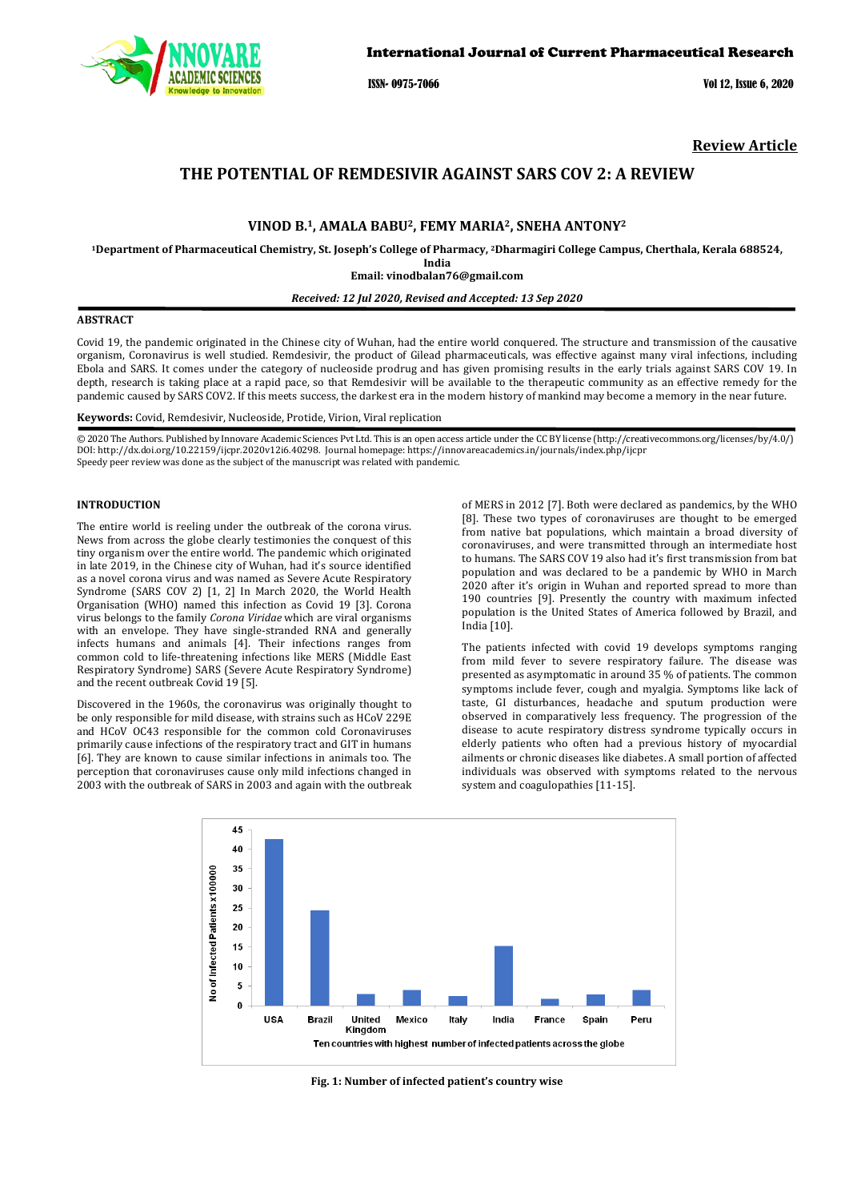

ISSN- 0975-7066 Vol 12, Issue 6, 2020

**Review Article**

# **THE POTENTIAL OF REMDESIVIR AGAINST SARS COV 2: A REVIEW**

# **VINOD B.1, AMALA BABU2, FEMY MARIA2, SNEHA ANTONY2**

**1Department of Pharmaceutical Chemistry, St. Joseph's College of Pharmacy, <sup>2</sup> Dharmagiri College Campus, Cherthala, Kerala 688524,** 

**India Email: vinodbalan76@gmail.com**

## *Received: 12 Jul 2020, Revised and Accepted: 13 Sep 2020*

# **ABSTRACT**

Covid 19, the pandemic originated in the Chinese city of Wuhan, had the entire world conquered. The structure and transmission of the causative organism, Coronavirus is well studied. Remdesivir, the product of Gilead pharmaceuticals, was effective against many viral infections, including Ebola and SARS. It comes under the category of nucleoside prodrug and has given promising results in the early trials against SARS COV 19. In depth, research is taking place at a rapid pace, so that Remdesivir will be available to the therapeutic community as an effective remedy for the pandemic caused by SARS COV2. If this meets success, the darkest era in the modern history of mankind may become a memory in the near future.

**Keywords:** Covid, Remdesivir, Nucleoside, Protide, Virion, Viral replication

© 2020 The Authors. Published by Innovare Academic Sciences Pvt Ltd. This is an open access article under the CC BY license [\(http://creativecommons.org/licenses/by/4.0/\)](http://creativecommons.org/licenses/by/4.0/) DOI: http://dx.doi.org/10.22159/ijcpr.2020v12i6.40298. Journal homepage[: https://innovareacademics.in/journals/index.php/ijcpr](https://innovareacademics.in/journals/index.php/ijcpr) Speedy peer review was done as the subject of the manuscript was related with pandemic.

## **INTRODUCTION**

The entire world is reeling under the outbreak of the corona virus. News from across the globe clearly testimonies the conquest of this tiny organism over the entire world. The pandemic which originated in late 2019, in the Chinese city of Wuhan, had it's source identified as a novel corona virus and was named as Severe Acute Respiratory Syndrome (SARS COV 2) [1, 2] In March 2020, the World Health Organisation (WHO) named this infection as Covid 19 [3]. Corona virus belongs to the family *Corona Viridae* which are viral organisms with an envelope. They have single-stranded RNA and generally infects humans and animals [4]. Their infections ranges from common cold to life-threatening infections like MERS (Middle East Respiratory Syndrome) SARS (Severe Acute Respiratory Syndrome) and the recent outbreak Covid 19 [5].

Discovered in the 1960s, the coronavirus was originally thought to be only responsible for mild disease, with strains such as HCoV 229E and HCoV OC43 responsible for the common cold Coronaviruses primarily cause infections of the respiratory tract and GIT in humans [6]. They are known to cause similar infections in animals too. The perception that coronaviruses cause only mild infections changed in 2003 with the outbreak of SARS in 2003 and again with the outbreak of MERS in 2012 [7]. Both were declared as pandemics, by the WHO [8]. These two types of coronaviruses are thought to be emerged from native bat populations, which maintain a broad diversity of coronaviruses, and were transmitted through an intermediate host to humans. The SARS COV 19 also had it's first transmission from bat population and was declared to be a pandemic by WHO in March 2020 after it's origin in Wuhan and reported spread to more than 190 countries [9]. Presently the country with maximum infected population is the United States of America followed by Brazil, and India [10].

The patients infected with covid 19 develops symptoms ranging from mild fever to severe respiratory failure. The disease was presented as asymptomatic in around 35 % of patients. The common symptoms include fever, cough and myalgia. Symptoms like lack of taste, GI disturbances, headache and sputum production were observed in comparatively less frequency. The progression of the disease to acute respiratory distress syndrome typically occurs in elderly patients who often had a previous history of myocardial ailments or chronic diseases like diabetes. A small portion of affected individuals was observed with symptoms related to the nervous system and coagulopathies [11-15].



**Fig. 1: Number of infected patient's country wise**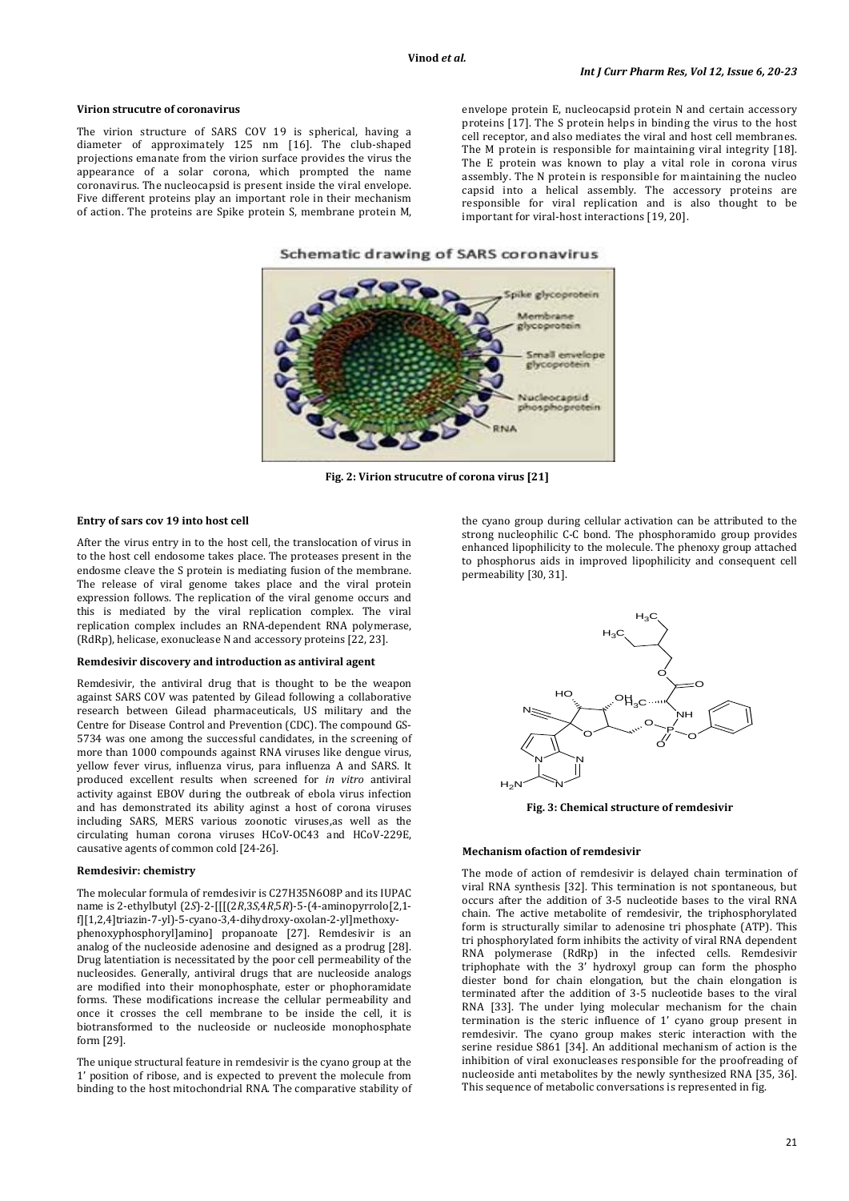#### **Virion strucutre of coronavirus**

The virion structure of SARS COV 19 is spherical, having a diameter of approximately 125 nm [16]. The club-shaped projections emanate from the virion surface provides the virus the appearance of a solar corona, which prompted the name coronavirus. The nucleocapsid is present inside the viral envelope. Five different proteins play an important role in their mechanism of action. The proteins are Spike protein S, membrane protein M, envelope protein E, nucleocapsid protein N and certain accessory proteins [17]. The S protein helps in binding the virus to the host cell receptor, and also mediates the viral and host cell membranes. The M protein is responsible for maintaining viral integrity [18]. The E protein was known to play a vital role in corona virus assembly. The N protein is responsible for maintaining the nucleo capsid into a helical assembly. The accessory proteins are responsible for viral replication and is also thought to be important for viral-host interactions [19, 20].





**Fig. 2: Virion strucutre of corona virus [21]**

# **Entry of sars cov 19 into host cell**

After the virus entry in to the host cell, the translocation of virus in to the host cell endosome takes place. The proteases present in the endosme cleave the S protein is mediating fusion of the membrane. The release of viral genome takes place and the viral protein expression follows. The replication of the viral genome occurs and this is mediated by the viral replication complex. The viral replication complex includes an RNA-dependent RNA polymerase, (RdRp), helicase, exonuclease N and accessory proteins [22, 23].

#### **Remdesivir discovery and introduction as antiviral agent**

Remdesivir, the antiviral drug that is thought to be the weapon against SARS COV was patented by Gilead following a collaborative research between Gilead pharmaceuticals, US military and the Centre for Disease Control and Prevention (CDC). The compound GS-5734 was one among the successful candidates, in the screening of more than 1000 compounds against RNA viruses like dengue virus, yellow fever virus, influenza virus, para influenza A and SARS. It produced excellent results when screened for *in vitro* antiviral activity against EBOV during the outbreak of ebola virus infection and has demonstrated its ability aginst a host of corona viruses including SARS, MERS various zoonotic viruses,as well as the circulating human corona viruses HCoV-OC43 and HCoV-229E, causative agents of common cold [24-26].

#### **Remdesivir: chemistry**

The molecular formula of remdesivir is C27H35N6O8P and its IUPAC name is 2-ethylbutyl (2*S*)-2-[[[(2*R*,3*S*,4*R*,5*R*)-5-(4-aminopyrrolo[2,1 f][1,2,4]triazin-7-yl)-5-cyano-3,4-dihydroxy-oxolan-2-yl]methoxyphenoxyphosphoryl]amino] propanoate [27]. Remdesivir is an analog of the nucleoside adenosine and designed as a prodrug [28]. Drug latentiation is necessitated by the poor cell permeability of the nucleosides. Generally, antiviral drugs that are nucleoside analogs are modified into their monophosphate, ester or phophoramidate forms. These modifications increase the cellular permeability and once it crosses the cell membrane to be inside the cell, it is biotransformed to the nucleoside or nucleoside monophosphate form [29].

The unique structural feature in remdesivir is the cyano group at the 1' position of ribose, and is expected to prevent the molecule from binding to the host mitochondrial RNA. The comparative stability of

the cyano group during cellular activation can be attributed to the strong nucleophilic C-C bond. The phosphoramido group provides enhanced lipophilicity to the molecule. The phenoxy group attached to phosphorus aids in improved lipophilicity and consequent cell permeability [30, 31].



**Fig. 3: Chemical structure of remdesivir**

#### **Mechanism ofaction of remdesivir**

The mode of action of remdesivir is delayed chain termination of viral RNA synthesis [32]. This termination is not spontaneous, but occurs after the addition of 3-5 nucleotide bases to the viral RNA chain. The active metabolite of remdesivir, the triphosphorylated form is structurally similar to adenosine tri phosphate (ATP). This tri phosphorylated form inhibits the activity of viral RNA dependent RNA polymerase (RdRp) in the infected cells. Remdesivir triphophate with the 3' hydroxyl group can form the phospho diester bond for chain elongation, but the chain elongation is terminated after the addition of 3-5 nucleotide bases to the viral RNA [33]. The under lying molecular mechanism for the chain termination is the steric influence of 1' cyano group present in remdesivir. The cyano group makes steric interaction with the serine residue S861 [34]. An additional mechanism of action is the inhibition of viral exonucleases responsible for the proofreading of nucleoside anti metabolites by the newly synthesized RNA [35, 36]. This sequence of metabolic conversations is represented in fig.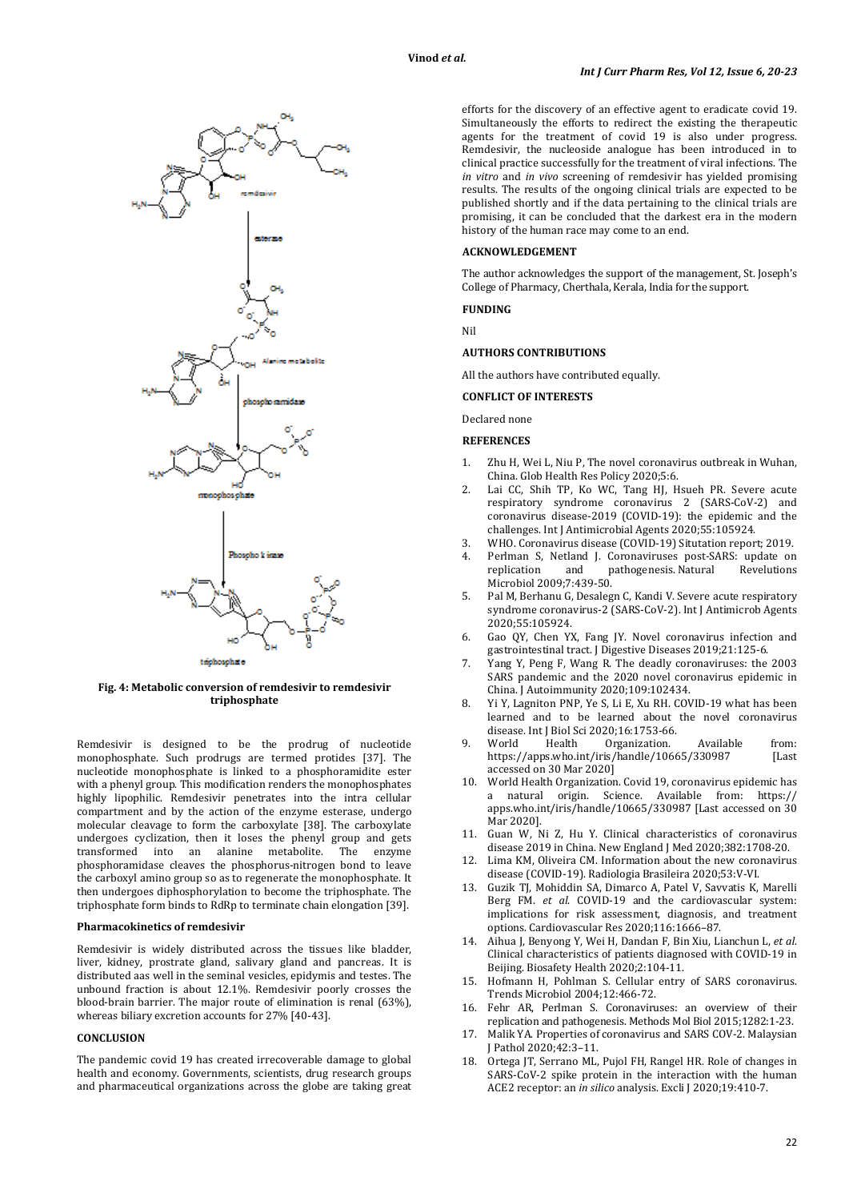

**Fig. 4: Metabolic conversion of remdesivir to remdesivir triphosphate**

Remdesivir is designed to be the prodrug of nucleotide monophosphate. Such prodrugs are termed protides [37]. The nucleotide monophosphate is linked to a phosphoramidite ester with a phenyl group. This modification renders the monophosphates highly lipophilic. Remdesivir penetrates into the intra cellular compartment and by the action of the enzyme esterase, undergo molecular cleavage to form the carboxylate [38]. The carboxylate undergoes cyclization, then it loses the phenyl group and gets transformed into an alanine metabolite. The enzyme phosphoramidase cleaves the phosphorus-nitrogen bond to leave the carboxyl amino group so as to regenerate the monophosphate. It then undergoes diphosphorylation to become the triphosphate. The triphosphate form binds to RdRp to terminate chain elongation [39].

# **Pharmacokinetics of remdesivir**

Remdesivir is widely distributed across the tissues like bladder, liver, kidney, prostrate gland, salivary gland and pancreas. It is distributed aas well in the seminal vesicles, epidymis and testes. The unbound fraction is about 12.1%. Remdesivir poorly crosses the blood-brain barrier. The major route of elimination is renal (63%), whereas biliary excretion accounts for 27% [40-43].

# **CONCLUSION**

The pandemic covid 19 has created irrecoverable damage to global health and economy. Governments, scientists, drug research groups and pharmaceutical organizations across the globe are taking great

efforts for the discovery of an effective agent to eradicate covid 19. Simultaneously the efforts to redirect the existing the therapeutic agents for the treatment of covid 19 is also under progress. Remdesivir, the nucleoside analogue has been introduced in to clinical practice successfully for the treatment of viral infections. The *in vitro* and *in vivo* screening of remdesivir has yielded promising results. The results of the ongoing clinical trials are expected to be published shortly and if the data pertaining to the clinical trials are promising, it can be concluded that the darkest era in the modern history of the human race may come to an end.

#### **ACKNOWLEDGEMENT**

The author acknowledges the support of the management, St. Joseph's College of Pharmacy, Cherthala, Kerala, India for the support.

# **FUNDING**

Nil

# **AUTHORS CONTRIBUTIONS**

All the authors have contributed equally.

# **CONFLICT OF INTERESTS**

Declared none

# **REFERENCES**

- 1. Zhu H, Wei L, Niu P, The novel coronavirus outbreak in Wuhan, China. Glob Health Res Policy 2020;5:6.
- 2. Lai CC, Shih TP, Ko WC, Tang HJ, Hsueh PR. Severe acute respiratory syndrome coronavirus 2 (SARS-CoV-2) and coronavirus disease-2019 (COVID-19): the epidemic and the challenges. Int J Antimicrobial Agents 2020;55:105924.
- 3. WHO. Coronavirus disease (COVID-19) Situtation report; 2019.
- Perlman S, Netland J. Coronaviruses post-SARS: update on<br>replication and pathogenesis Natural Revelutions pathogenesis. Natural Microbiol 2009;7 :439-50.
- 5. Pal M, Berhanu G, Desalegn C, Kandi V. Severe acute respiratory syndrome coronavirus-2 (SARS-CoV-2). Int J Antimicrob Agents 2020;55:105924.
- 6. Gao QY, Chen YX, Fang JY. Novel coronavirus infection and gastrointestinal tract. J Digestive Diseases 2019;21:125-6.
- 7. Yang Y, Peng F, Wang R*.* The deadly coronaviruses: the 2003 SARS pandemic and the 2020 novel coronavirus epidemic in China. J Autoimmunity 2020;109:102434.
- 8. Yi Y, Lagniton PNP, Ye S, Li E, Xu RH. COVID-19 what has been learned and to be learned about the novel coronavirus disease. Int J Biol Sci 2020;16:1753-66.<br>World Health Organization.
- 9. World Health Organization. Available from: https://apps.who.int/iris/handle/10665/330987 [Last accessed on 30 Mar 2020]
- 10. World Health Organization. Covid 19, coronavirus epidemic has a natural origin. Science. Available from: https:// apps.who.int/iris/handle/10665/330987 [Last accessed on 30 Mar 2020].
- 11. Guan W, Ni Z, Hu Y*.* Clinical characteristics of coronavirus disease 2019 in China. New England J Med 2020;382:1708-20.
- Lima KM, Oliveira CM. Information about the new coronavirus disease (COVID-19). Radiologia Brasileira 2020;53:V-VI.
- 13. Guzik TJ, Mohiddin SA, Dimarco A, Patel V, Savvatis K, Marelli Berg FM. *et al*. COVID-19 and the cardiovascular system: implications for risk assessment, diagnosis, and treatment options. Cardiovascular Res 2020;116:1666–87.
- 14. Aihua J, Benyong Y, Wei H, Dandan F, Bin Xiu, Lianchun L, *et al*. Clinical characteristics of patients diagnosed with COVID-19 in Beijing. Biosafety Health 2020;2:104-11.
- 15. Hofmann H, Pohlman S. Cellular entry of SARS coronavirus. Trends Microbiol 2004;12:466-72.
- 16. Fehr AR, Perlman S. Coronaviruses: an overview of their replication and pathogenesis. Methods Mol Biol 2015;1282:1-23.
- 17. Malik YA. Properties of coronavirus and SARS COV-2. Malaysian J Pathol 2020;42:3–11.
- 18. Ortega JT, Serrano ML, Pujol FH, Rangel HR. Role of changes in SARS-CoV-2 spike protein in the interaction with the human ACE2 receptor: an *in silico* analysis. Excli J 2020;19:410-7.